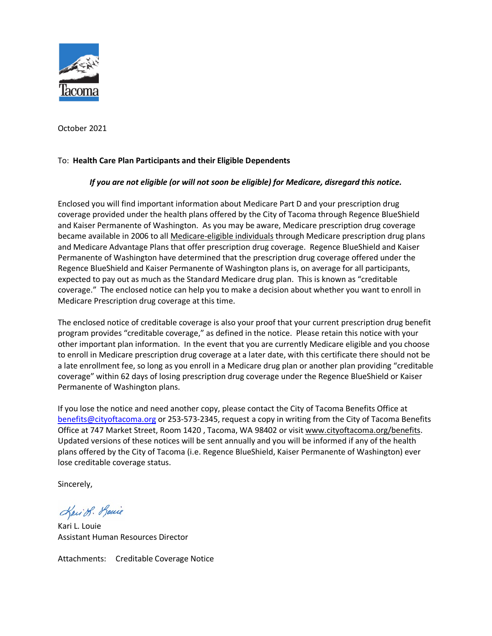

October 2021

#### To: **Health Care Plan Participants and their Eligible Dependents**

#### *If you are not eligible (or will not soon be eligible) for Medicare, disregard this notice.*

Enclosed you will find important information about Medicare Part D and your prescription drug coverage provided under the health plans offered by the City of Tacoma through Regence BlueShield and Kaiser Permanente of Washington. As you may be aware, Medicare prescription drug coverage became available in 2006 to all Medicare-eligible individuals through Medicare prescription drug plans and Medicare Advantage Plans that offer prescription drug coverage. Regence BlueShield and Kaiser Permanente of Washington have determined that the prescription drug coverage offered under the Regence BlueShield and Kaiser Permanente of Washington plans is, on average for all participants, expected to pay out as much as the Standard Medicare drug plan. This is known as "creditable coverage." The enclosed notice can help you to make a decision about whether you want to enroll in Medicare Prescription drug coverage at this time.

The enclosed notice of creditable coverage is also your proof that your current prescription drug benefit program provides "creditable coverage," as defined in the notice. Please retain this notice with your other important plan information. In the event that you are currently Medicare eligible and you choose to enroll in Medicare prescription drug coverage at a later date, with this certificate there should not be a late enrollment fee, so long as you enroll in a Medicare drug plan or another plan providing "creditable coverage" within 62 days of losing prescription drug coverage under the Regence BlueShield or Kaiser Permanente of Washington plans.

If you lose the notice and need another copy, please contact the City of Tacoma Benefits Office at [benefits@cityoftacoma.org](mailto:benefits@cityoftacoma.org) or 253-573-2345, request a copy in writing from the City of Tacoma Benefits Office at 747 Market Street, Room 1420, Tacoma, WA 98402 or visit www.cityoftacoma.org/benefits. Updated versions of these notices will be sent annually and you will be informed if any of the health plans offered by the City of Tacoma (i.e. Regence BlueShield, Kaiser Permanente of Washington) ever lose creditable coverage status.

Sincerely,

Kari S. Louie

Kari L. Louie Assistant Human Resources Director

Attachments: Creditable Coverage Notice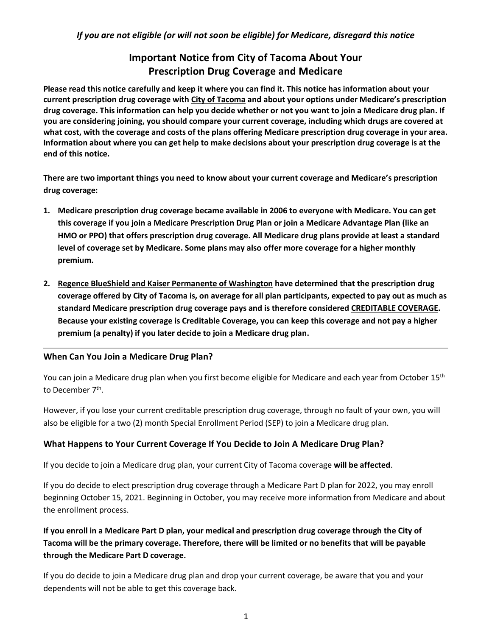# **Important Notice from City of Tacoma About Your Prescription Drug Coverage and Medicare**

**Please read this notice carefully and keep it where you can find it. This notice has information about your current prescription drug coverage with City of Tacoma and about your options under Medicare's prescription drug coverage. This information can help you decide whether or not you want to join a Medicare drug plan. If you are considering joining, you should compare your current coverage, including which drugs are covered at what cost, with the coverage and costs of the plans offering Medicare prescription drug coverage in your area. Information about where you can get help to make decisions about your prescription drug coverage is at the end of this notice.**

**There are two important things you need to know about your current coverage and Medicare's prescription drug coverage:**

- **1. Medicare prescription drug coverage became available in 2006 to everyone with Medicare. You can get this coverage if you join a Medicare Prescription Drug Plan or join a Medicare Advantage Plan (like an HMO or PPO) that offers prescription drug coverage. All Medicare drug plans provide at least a standard level of coverage set by Medicare. Some plans may also offer more coverage for a higher monthly premium.**
- **2. Regence BlueShield and Kaiser Permanente of Washington have determined that the prescription drug coverage offered by City of Tacoma is, on average for all plan participants, expected to pay out as much as standard Medicare prescription drug coverage pays and is therefore considered CREDITABLE COVERAGE. Because your existing coverage is Creditable Coverage, you can keep this coverage and not pay a higher premium (a penalty) if you later decide to join a Medicare drug plan.**

## **When Can You Join a Medicare Drug Plan?**

You can join a Medicare drug plan when you first become eligible for Medicare and each year from October 15<sup>th</sup> to December 7<sup>th</sup>.

However, if you lose your current creditable prescription drug coverage, through no fault of your own, you will also be eligible for a two (2) month Special Enrollment Period (SEP) to join a Medicare drug plan.

## **What Happens to Your Current Coverage If You Decide to Join A Medicare Drug Plan?**

If you decide to join a Medicare drug plan, your current City of Tacoma coverage **will be affected**.

If you do decide to elect prescription drug coverage through a Medicare Part D plan for 2022, you may enroll beginning October 15, 2021. Beginning in October, you may receive more information from Medicare and about the enrollment process.

# **If you enroll in a Medicare Part D plan, your medical and prescription drug coverage through the City of Tacoma will be the primary coverage. Therefore, there will be limited or no benefits that will be payable through the Medicare Part D coverage.**

If you do decide to join a Medicare drug plan and drop your current coverage, be aware that you and your dependents will not be able to get this coverage back.